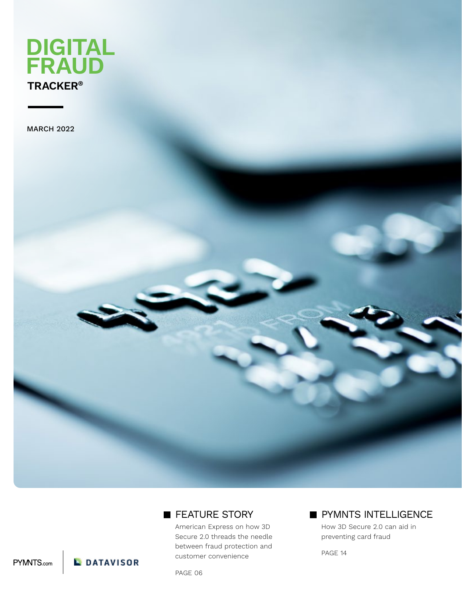

MARCH 2022



American Express on how 3D Secure 2.0 threads the needle between fraud protection and customer convenience

PYMNTS.com

**DATAVISOR** 

PAGE 06

PYMNTS INTELLIGENCE

How 3D Secure 2.0 can aid in preventing card fraud

PAGE 14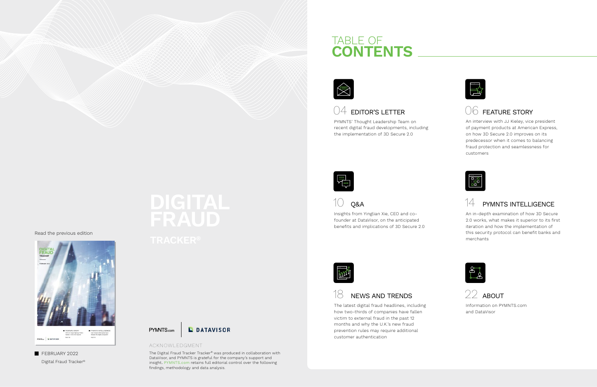

## TABLE OF **CONTENTS**



## $\circlearrowleft\mathcal{4}\;$  Editor's letter

10 Q&A



PYMNTS' Thought Leadership Team on recent digital fraud developments, including the implementation of 3D Secure 2.0

Insights from Yinglian Xie, CEO and cofounder at DataVisor, on the anticipated benefits and implications of 3D Secure 2.0



## $18$  NEWS AND TRENDS

The latest digital fraud headlines, including how two-thirds of companies have fallen victim to external fraud in the past 12 months and why the U.K.'s new fraud prevention rules may require additional customer authentication

FEBRUARY 2022 Digital Fraud Tracker®



**L** DATAVISOR

An interview with JJ Kieley, vice president of payment products at American Express, on how 3D Secure 2.0 improves on its predecessor when it comes to balancing fraud protection and seamlessness for customers



## PYMNTS INTELLIGENCE

An in-depth examination of how 3D Secure 2.0 works, what makes it superior to its first iteration and how the implementation of this security protocol can benefit banks and merchants



Information on PYMNTS.com and DataVisor

#### ACKNOWLEDGMENT

The Digital Fraud Tracker Tracker® was produced in collaboration with DataVisor, and PYMNTS is grateful for the company's support and insight. [PYMNTS.com](http://pymnts.com) retains full editorial control over the following findings, methodology and data analysis.



## 06 FEATURE STORY

#### Read the previous edition

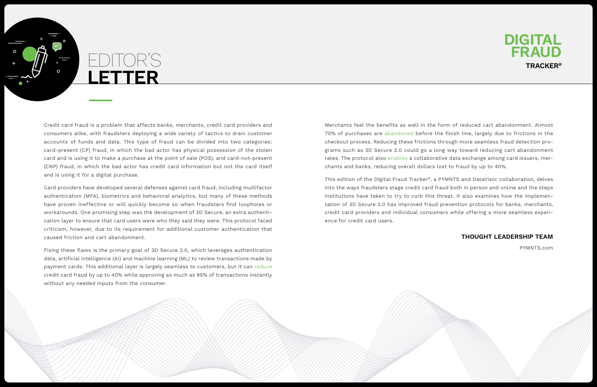Credit card fraud is a problem that affects banks, merchants, credit card providers and consumers alike, with fraudsters deploying a wide variety of tactics to drain customer accounts of funds and data. This type of fraud can be divided into two categories: card-present (CP) fraud, in which the bad actor has physical possession of the stolen card and is using it to make a purchase at the point of sale (POS), and card-not-present (CNP) fraud, in which the bad actor has credit card information but not the card itself and is using it for a digital purchase.

Card providers have developed several defenses against card fraud, including multifactor authentication (MFA), biometrics and behavioral analytics, but many of these methods have proven ineffective or will quickly become so when fraudsters find loopholes or workarounds. One promising step was the development of 3D Secure, an extra authentication layer to ensure that card users were who they said they were. This protocol faced criticism, however, due to its requirement for additional customer authentication that caused friction and cart abandonment.

Fixing these flaws is the primary goal of 3D Secure 2.0, which leverages authentication data, artificial intelligence (AI) and machine learning (ML) to review transactions made by payment cards. This additional layer is largely seamless to customers, but it can [reduce](https://usa.visa.com/content/dam/VCOM/global/visa-everywhere/documents/visa-3d-secure-2-program-infographic.pdf) credit card fraud by up to 40% while approving as much as 95% of transactions instantly without any needed inputs from the consumer.

Merchants feel the benefits as well in the form of reduced cart abandonment. Almost 70% of purchases are [abandoned](https://www.shopify.com/blog/shopping-cart-abandonment) before the finish line, largely due to frictions in the checkout process. Reducing these frictions through more seamless fraud detection programs such as 3D Secure 2.0 could go a long way toward reducing cart abandonment rates. The protocol also [enables](https://globalclient.visa.com/VisaSecure_CEMEA_CaseStudy) a collaborative data exchange among card issuers, merchants and banks, reducing overall dollars lost to fraud by up to 40%.

This edition of the Digital Fraud Tracker®, a PYMNTS and DataVisor collaboration, delves into the ways fraudsters stage credit card fraud both in person and online and the steps institutions have taken to try to curb this threat. It also examines how the implementation of 3D Secure 2.0 has improved fraud prevention protocols for banks, merchants, credit card providers and individual consumers while offering a more seamless experience for credit card users.

### **THOUGHT LEADERSHIP TEAM**

PYMNTS.com



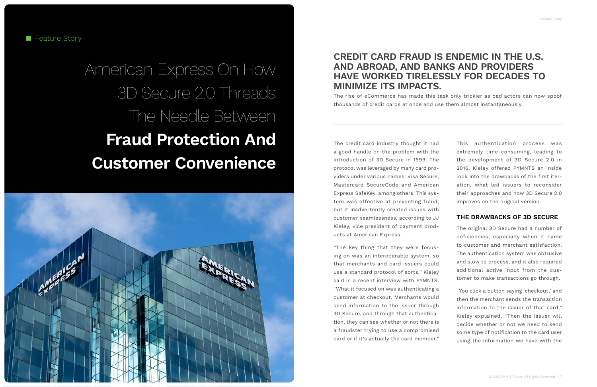## **CREDIT CARD FRAUD IS ENDEMIC IN THE U.S. AND ABROAD, AND BANKS AND PROVIDERS HAVE WORKED TIRELESSLY FOR DECADES TO MINIMIZE ITS IMPACTS.**

The rise of eCommerce has made this task only trickier as bad actors can now spoof thousands of credit cards at once and use them almost instantaneously.

The credit card industry thought it had a good handle on the problem with the introduction of 3D Secure in 1999. The protocol was leveraged by many card providers under various names: Visa Secure, Mastercard SecureCode and American Express SafeKey, among others. This system was effective at preventing fraud, but it inadvertently created issues with customer seamlessness, according to JJ Kieley, vice president of payment products at [American Express.](http://americanexpress.com/)

"The key thing that they were focusing on was an interoperable system, so that merchants and card issuers could use a standard protocol of sorts," Kieley said in a recent interview with PYMNTS. "What it focused on was authenticating a customer at checkout. Merchants would send information to the issuer through 3D Secure, and through that authentication, they can see whether or not there is a fraudster trying to use a compromised card or if it's actually the card member."

This authentication process was extremely time-consuming, leading to the development of 3D Secure 2.0 in 2016. Kieley offered PYMNTS an inside look into the drawbacks of the first iteration, what led issuers to reconsider their approaches and how 3D Secure 2.0 improves on the original version.

#### **THE DRAWBACKS OF 3D SECURE**

The original 3D Secure had a number of deficiencies, especially when it came to customer and merchant satisfaction. The authentication system was obtrusive and slow to process, and it also required additional active input from the customer to make transactions go through.

"You click a button saying 'checkout,' and then the merchant sends the transaction information to the issuer of that card," Kieley explained. "Then the issuer will decide whether or not we need to send some type of notification to the card user using the information we have with the

# American Express On How 3D Secure 2.0 Threads The Needle Between **Fraud Protection And Customer Convenience**

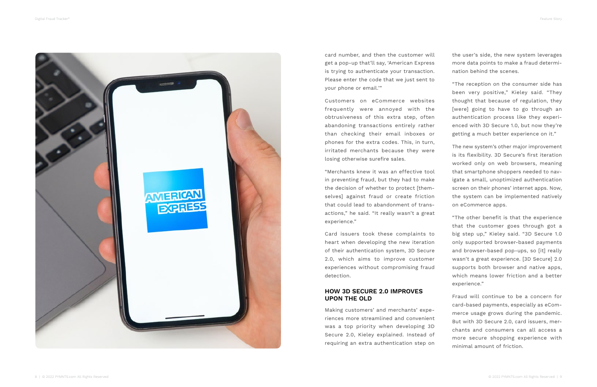card number, and then the customer will get a pop-up that'll say, 'American Express is trying to authenticate your transaction. Please enter the code that we just sent to your phone or email.'"

Customers on eCommerce websites frequently were annoyed with the obtrusiveness of this extra step, often abandoning transactions entirely rather than checking their email inboxes or phones for the extra codes. This, in turn, irritated merchants because they were losing otherwise surefire sales.

"Merchants knew it was an effective tool in preventing fraud, but they had to make the decision of whether to protect [them selves] against fraud or create friction that could lead to abandonment of trans actions," he said. "It really wasn't a great experience."

Card issuers took these complaints to heart when developing the new iteration of their authentication system, 3D Secure 2.0, which aims to improve customer experiences without compromising fraud detection.

#### **HOW 3D SECURE 2.0 IMPROVES UPON THE OLD**

Making customers' and merchants' expe riences more streamlined and convenient was a top priority when developing 3D Secure 2.0, Kieley explained. Instead of requiring an extra authentication step on the user's side, the new system leverages more data points to make a fraud determi nation behind the scenes.

"The reception on the consumer side has been very positive," Kieley said. "They thought that because of regulation, they [were] going to have to go through an authentication process like they experi enced with 3D Secure 1.0, but now they're getting a much better experience on it."

The new system's other major improvement is its flexibility. 3D Secure's first iteration worked only on web browsers, meaning that smartphone shoppers needed to nav igate a small, unoptimized authentication screen on their phones' internet apps. Now, the system can be implemented natively on eCommerce apps.

"The other benefit is that the experience that the customer goes through got a big step up," Kieley said. "3D Secure 1.0 only supported browser-based payments and browser-based pop-ups, so [it] really wasn't a great experience. [3D Secure] 2.0 supports both browser and native apps, which means lower friction and a better experience."

Fraud will continue to be a concern for card-based payments, especially as eCom merce usage grows during the pandemic. But with 3D Secure 2.0, card issuers, mer chants and consumers can all access a more secure shopping experience with minimal amount of friction.

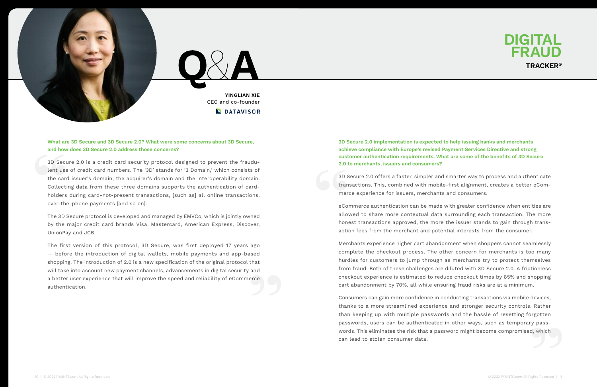#### **What are 3D Secure and 3D Secure 2.0? What were some concerns about 3D Secure, and how does 3D Secure 2.0 address those concerns?**

3D Secure 2.0 is a credit card security protocol designed to prevent the fraudulent use of credit card numbers. The '3D' stands for '3 Domain,' which consists of the card issuer's domain, the acquirer's domain and the interoperability domain. Collecting data from these three domains supports the authentication of cardholders during card-not-present transactions, [such as] all online transactions, over-the-phone payments [and so on].

The 3D Secure protocol is developed and managed by EMVCo, which is jointly owned by the major credit card brands Visa, Mastercard, American Express, Discover, UnionPay and JCB.

The first version of this protocol, 3D Secure, was first deployed 17 years ago — before the introduction of digital wallets, mobile payments and app-based shopping. The introduction of 2.0 is a new specification of the original protocol that will take into account new payment channels, advancements in digital security and a better user experience that will improve the speed and reliability of eCommerce authentication.

## **3D Secure 2.0 implementation is expected to help issuing banks and merchants customer authentication requirements. What are some of the benefits of 3D Secure**

**achieve compliance with Europe's revised Payment Services Directive and strong 2.0 to merchants, issuers and consumers?** 



**YINGLIAN XIE**  CEO and co-founder **L** DATAVISOR

> 3D Secure 2.0 offers a faster, simpler and smarter way to process and authenticate transactions. This, combined with mobile-first alignment, creates a better eCommerce experience for issuers, merchants and consumers.

> eCommerce authentication can be made with greater confidence when entities are allowed to share more contextual data surrounding each transaction. The more honest transactions approved, the more the issuer stands to gain through transaction fees from the merchant and potential interests from the consumer.

> Merchants experience higher cart abandonment when shoppers cannot seamlessly complete the checkout process. The other concern for merchants is too many hurdles for customers to jump through as merchants try to protect themselves from fraud. Both of these challenges are diluted with 3D Secure 2.0. A frictionless checkout experience is estimated to reduce checkout times by 85% and shopping cart abandonment by 70%, all while ensuring fraud risks are at a minimum.

> Consumers can gain more confidence in conducting transactions via mobile devices, thanks to a more streamlined experience and stronger security controls. Rather than keeping up with multiple passwords and the hassle of resetting forgotten passwords, users can be authenticated in other ways, such as temporary passwords. This eliminates the risk that a password might become compromised, which can lead to stolen consumer data.

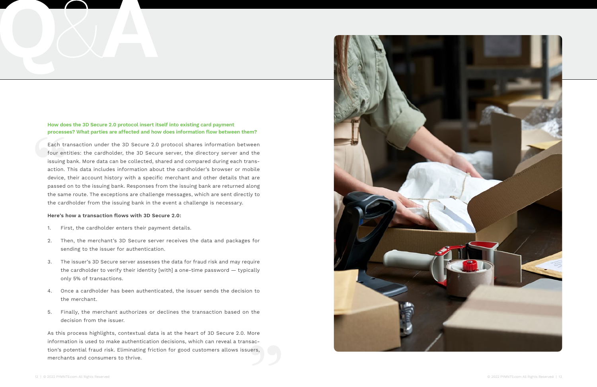#### **How does the 3D Secure 2.0 protocol insert itself into existing card payment processes? What parties are affected and how does information flow between them?**

Each transaction under the 3D Secure 2.0 protocol shares information between four entities: the cardholder, the 3D Secure server, the directory server and the issuing bank. More data can be collected, shared and compared during each transaction. This data includes information about the cardholder's browser or mobile device, their account history with a specific merchant and other details that are passed on to the issuing bank. Responses from the issuing bank are returned along the same route. The exceptions are challenge messages, which are sent directly to the cardholder from the issuing bank in the event a challenge is necessary.

#### **Here's how a transaction flows with 3D Secure 2.0:**

- 1. First, the cardholder enters their payment details.
- 2. Then, the merchant's 3D Secure server receives the data and packages for sending to the issuer for authentication.
- 3. The issuer's 3D Secure server assesses the data for fraud risk and may require the cardholder to verify their identity [with] a one-time password — typically only 5% of transactions.
- 4. Once a cardholder has been authenticated, the issuer sends the decision to the merchant.
- 5. Finally, the merchant authorizes or declines the transaction based on the decision from the issuer.

As this process highlights, contextual data is at the heart of 3D Secure 2.0. More information is used to make authentication decisions, which can reveal a transaction's potential fraud risk. Eliminating friction for good customers allows issuers, merchants and consumers to thrive.

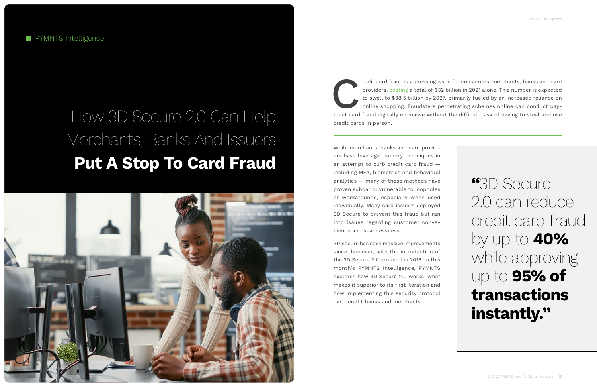redit card fraud is a pressing issue for consumers, merchants, banks and card providers, costing a total of \$32 billion in 2021 alone. This number is expected to swell to \$38.5 billion by 2027, primarily fueled by an incre providers, [costing](https://spendmenot.com/blog/credit-card-fraud-statistics/) a total of \$32 billion in 2021 alone. This number is expected to swell to \$38.5 billion by 2027, primarily fueled by an increased reliance on online shopping. Fraudsters perpetrating schemes online can conduct paycredit cards in person.

While merchants, banks and card providers have leveraged sundry techniques in an attempt to curb credit card fraud including MFA, biometrics and behavioral analytics — many of these methods have proven subpar or vulnerable to loopholes or workarounds, especially when used individually. Many card issuers deployed 3D Secure to prevent this fraud but ran into issues regarding customer convenience and seamlessness.

3D Secure has seen massive improvements since, however, with the introduction of the 3D Secure 2.0 protocol in 2016. In this month's PYMNTS Intelligence, PYMNTS explores how 3D Secure 2.0 works, what makes it superior to its first iteration and how implementing this security protocol can benefit banks and merchants.

# How 3D Secure 2.0 Can Help Merchants, Banks And Issuers **Put A Stop To Card Fraud**



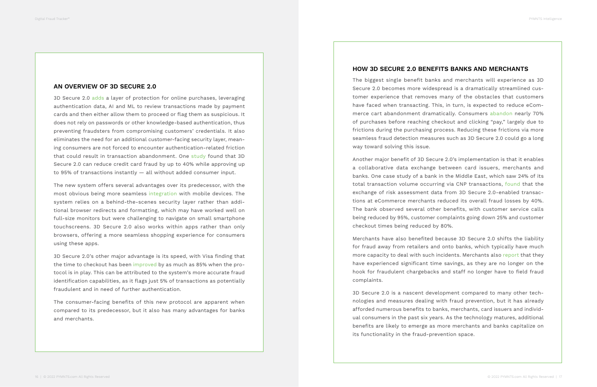#### **AN OVERVIEW OF 3D SECURE 2.0**

3D Secure 2.0 [adds](https://www.pymnts.com/news/security-and-risk/2018/omnichannel-bank-3d-secure/) a layer of protection for online purchases, leveraging authentication data, AI and ML to review transactions made by payment cards and then either allow them to proceed or flag them as suspicious. It does not rely on passwords or other knowledge-based authentication, thus preventing fraudsters from compromising customers' credentials. It also eliminates the need for an additional customer-facing security layer, meaning consumers are not forced to encounter authentication-related friction that could result in transaction abandonment. One [study](https://usa.visa.com/content/dam/VCOM/global/visa-everywhere/documents/visa-3d-secure-2-program-infographic.pdf) found that 3D Secure 2.0 can reduce credit card fraud by up to 40% while approving up to 95% of transactions instantly — all without added consumer input.

The new system offers several advantages over its predecessor, with the most obvious being more seamless [integration](https://www.datavisor.com/intelligence-center/ebooks/whats-new-in-3d-secure-2-0/) with mobile devices. The system relies on a behind-the-scenes security layer rather than additional browser redirects and formatting, which may have worked well on full-size monitors but were challenging to navigate on small smartphone touchscreens. 3D Secure 2.0 also works within apps rather than only browsers, offering a more seamless shopping experience for consumers using these apps.

3D Secure 2.0's other major advantage is its speed, with Visa finding that the time to checkout has been [improved](https://usa.visa.com/visa-everywhere/security/future-of-digital-payment-security.html) by as much as 85% when the protocol is in play. This can be attributed to the system's more accurate fraud identification capabilities, as it flags just 5% of transactions as potentially fraudulent and in need of further authentication.

The consumer-facing benefits of this new protocol are apparent when compared to its predecessor, but it also has many advantages for banks and merchants.

#### **HOW 3D SECURE 2.0 BENEFITS BANKS AND MERCHANTS**

The biggest single benefit banks and merchants will experience as 3D Secure 2.0 becomes more widespread is a dramatically streamlined customer experience that removes many of the obstacles that customers have faced when transacting. This, in turn, is expected to reduce eCommerce cart abandonment dramatically. Consumers [abandon](https://www.shopify.com/blog/shopping-cart-abandonment) nearly 70% of purchases before reaching checkout and clicking "pay," largely due to frictions during the purchasing process. Reducing these frictions via more seamless fraud detection measures such as 3D Secure 2.0 could go a long way toward solving this issue.

Another major benefit of 3D Secure 2.0's implementation is that it enables a collaborative data exchange between card issuers, merchants and banks. One case study of a bank in the Middle East, which saw 24% of its total transaction volume occurring via CNP transactions, [found](https://globalclient.visa.com/VisaSecure_CEMEA_CaseStudy) that the exchange of risk assessment data from 3D Secure 2.0-enabled transactions at eCommerce merchants reduced its overall fraud losses by 40%. The bank observed several other benefits, with customer service calls being reduced by 95%, customer complaints going down 25% and customer checkout times being reduced by 80%.

Merchants have also benefited because 3D Secure 2.0 shifts the liability for fraud away from retailers and onto banks, which typically have much more capacity to deal with such incidents. Merchants also [report](https://customerthink.com/5-simple-authentication-methods-to-protect-your-credit-card-data/) that they have experienced significant time savings, as they are no longer on the hook for fraudulent chargebacks and staff no longer have to field fraud complaints.

3D Secure 2.0 is a nascent development compared to many other technologies and measures dealing with fraud prevention, but it has already afforded numerous benefits to banks, merchants, card issuers and individual consumers in the past six years. As the technology matures, additional benefits are likely to emerge as more merchants and banks capitalize on its functionality in the fraud-prevention space.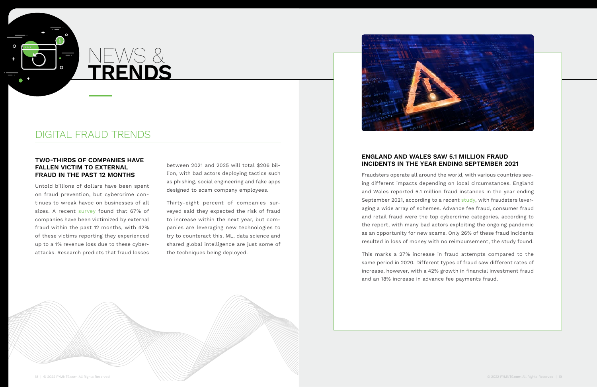## DIGITAL FRAUD TRENDS

### **TWO-THIRDS OF COMPANIES HAVE FALLEN VICTIM TO EXTERNAL FRAUD IN THE PAST 12 MONTHS**

Untold billions of dollars have been spent on fraud prevention, but cybercrime continues to wreak havoc on businesses of all sizes. A recent [survey](https://www.darkreading.com/edge-articles/fraud-is-on-the-rise-and-its-going-to-get-worse) found that 67% of companies have been victimized by external fraud within the past 12 months, with 42% of these victims reporting they experienced up to a 1% revenue loss due to these cyberattacks. Research predicts that fraud losses

between 2021 and 2025 will total \$206 billion, with bad actors deploying tactics such as phishing, social engineering and fake apps designed to scam company employees.

Thirty-eight percent of companies surveyed said they expected the risk of fraud to increase within the next year, but companies are leveraging new technologies to try to counteract this. ML, data science and shared global intelligence are just some of the techniques being deployed.



### **ENGLAND AND WALES SAW 5.1 MILLION FRAUD INCIDENTS IN THE YEAR ENDING SEPTEMBER 2021**

Fraudsters operate all around the world, with various countries seeing different impacts depending on local circumstances. England and Wales reported 5.1 million fraud instances in the year ending September 2021, according to a recent [study](https://www.ons.gov.uk/peoplepopulationandcommunity/crimeandjustice/bulletins/crimeinenglandandwales/yearendingseptember2021#fraud), with fraudsters leveraging a wide array of schemes. Advance fee fraud, consumer fraud and retail fraud were the top cybercrime categories, according to the report, with many bad actors exploiting the ongoing pandemic as an opportunity for new scams. Only 26% of these fraud incidents resulted in loss of money with no reimbursement, the study found.

This marks a 27% increase in fraud attempts compared to the same period in 2020. Different types of fraud saw different rates of increase, however, with a 42% growth in financial investment fraud and an 18% increase in advance fee payments fraud.



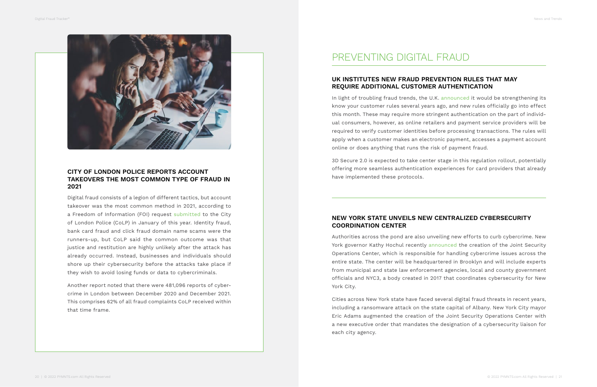#### **CITY OF LONDON POLICE REPORTS ACCOUNT TAKEOVERS THE MOST COMMON TYPE OF FRAUD IN 2021**

Digital fraud consists of a legion of different tactics, but account takeover was the most common method in 2021, according to a Freedom of Information (FOI) request [submitted](https://www.moneymarketing.co.uk/news/action-fraud-initiates-110-investigations-into-online-frauds/) to the City of London Police (CoLP) in January of this year. Identity fraud, bank card fraud and click fraud domain name scams were the runners-up, but CoLP said the common outcome was that justice and restitution are highly unlikely after the attack has already occurred. Instead, businesses and individuals should shore up their cybersecurity before the attacks take place if they wish to avoid losing funds or data to cybercriminals.

In light of troubling fraud trends, the U.K. [announced](https://www.pymnts.com/authentication/2022/new-united-kingdom-rules-may-require-additional-authentication-measures-consumers/) it would be strengthening its know your customer rules several years ago, and new rules officially go into effect this month. These may require more stringent authentication on the part of individual consumers, however, as online retailers and payment service providers will be required to verify customer identities before processing transactions. The rules will apply when a customer makes an electronic payment, accesses a payment account online or does anything that runs the risk of payment fraud.

Another report noted that there were 481,096 reports of cybercrime in London between December 2020 and December 2021. This comprises 62% of all fraud complaints CoLP received within that time frame.

## PREVENTING DIGITAL FRAUD

### **UK INSTITUTES NEW FRAUD PREVENTION RULES THAT MAY REQUIRE ADDITIONAL CUSTOMER AUTHENTICATION**

3D Secure 2.0 is expected to take center stage in this regulation rollout, potentially offering more seamless authentication experiences for card providers that already have implemented these protocols.

#### **NEW YORK STATE UNVEILS NEW CENTRALIZED CYBERSECURITY COORDINATION CENTER**

Authorities across the pond are also unveiling new efforts to curb cybercrime. New York governor Kathy Hochul recently [announced](https://www.zdnet.com/article/new-york-announces-statewide-cybersecurity-coordination-center/) the creation of the Joint Security Operations Center, which is responsible for handling cybercrime issues across the entire state. The center will be headquartered in Brooklyn and will include experts from municipal and state law enforcement agencies, local and county government officials and NYC3, a body created in 2017 that coordinates cybersecurity for New York City.

Cities across New York state have faced several digital fraud threats in recent years, including a ransomware attack on the state capital of Albany. New York City mayor Eric Adams augmented the creation of the Joint Security Operations Center with a new executive order that mandates the designation of a cybersecurity liaison for each city agency.